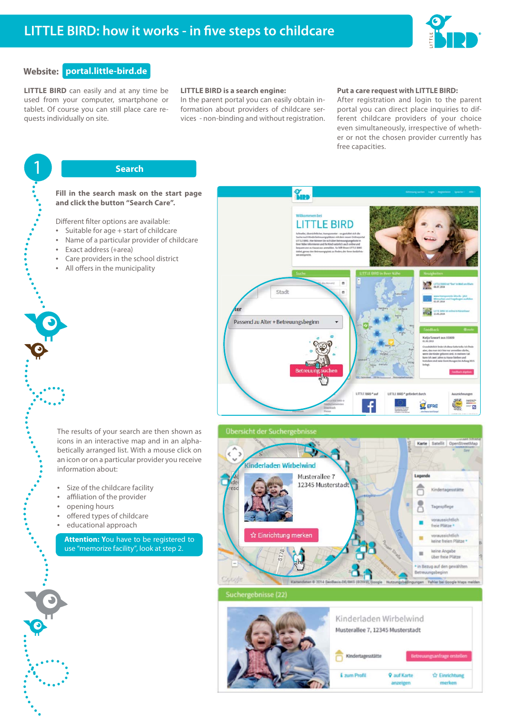

# **Website: portal.little-bird.de**

1

## **LITTLE BIRD** can easily and at any time be used from your computer, smartphone or tablet. Of course you can still place care requests individually on site.

### **LITTLE BIRD is a search engine:**

In the parent portal you can easily obtain information about providers of childcare services - non-binding and without registration.

### **Put a care request with LITTLE BIRD:**

After registration and login to the parent portal you can direct place inquiries to different childcare providers of your choice even simultaneously, irrespective of whether or not the chosen provider currently has free capacities.

# **Search**

### **Fill in the search mask on the start page and click the button "Search Care".**

Different filter options are available:

- Suitable for age + start of childcare
- Name of a particular provider of childcare
- Exact address (+area)
- Care providers in the school district
- All offers in the municipality

- The results of your search are then shown as icons in an interactive map and in an alphabetically arranged list. With a mouse click on an icon or on a particular provider you receive information about:
- Size of the childcare facility
- affiliation of the provider
- opening hours
- offered types of childcare
- educational approach

**Attention: Y**ou have to be registered to use "memorize facility", look at step 2.





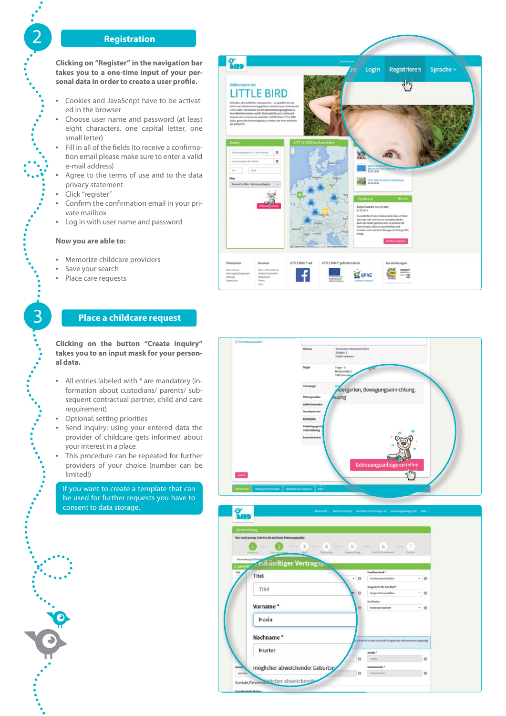## 2 **Registration**

**Clicking on "Register" in the navigation bar takes you to a one-time input of your per**sonal data in order to create a user profile.

- Cookies and JavaScript have to be activated in the browser
- Choose user name and password (at least eight characters, one capital letter, one small letter)
- Fill in all of the fields (to receive a confirmation email please make sure to enter a valid e-mail address)
- Agree to the terms of use and to the data privacy statement
- Click "register"
- Confirm the confirmation email in your private mailbox
- Log in with user name and password

## **Now you are able to:**

- Memorize childcare providers
- Save your search

3

• Place care requests

# **Place a childcare request**

**Clicking on the button "Create inquiry" takes you to an input mask for your personal data.**

- All entries labeled with \* are mandatory (information about custodians/ parents/ subsequent contractual partner, child and care requirement)
- Optional: setting priorities
- Send inquiry: using your entered data the provider of childcare gets informed about your interest in a place
- This procedure can be repeated for further providers of your choice (number can be limited!)

If you want to create a template that can be used for further requests you have to consent to data storage.





 $-$  0

 $\cdot$  0

 $-10$ 

Titel

Titel

Vorname\*

Maria

Nachname\* Muster

Kontakt/Err

möglicher abweichender Geburtsry and dicher abweichende